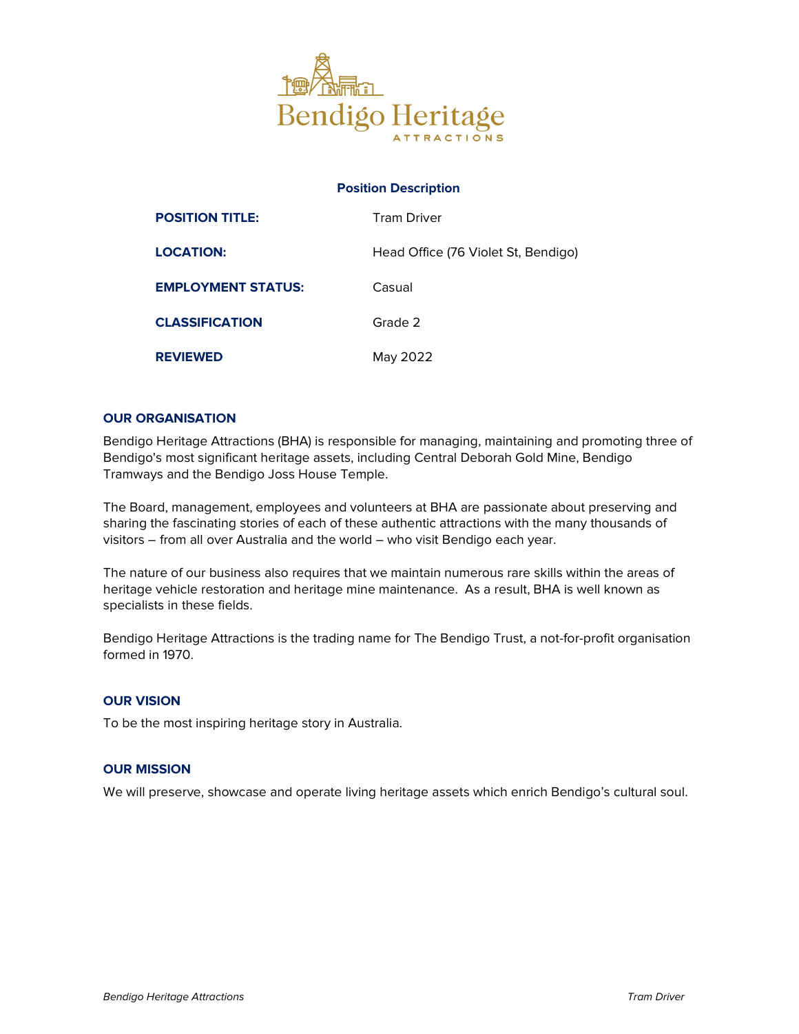

# Position Description

| <b>POSITION TITLE:</b>    | <b>Tram Driver</b>                  |
|---------------------------|-------------------------------------|
| <b>LOCATION:</b>          | Head Office (76 Violet St, Bendigo) |
| <b>EMPLOYMENT STATUS:</b> | Casual                              |
| <b>CLASSIFICATION</b>     | Grade 2                             |
| <b>REVIEWED</b>           | May 2022                            |

## OUR ORGANISATION

Bendigo Heritage Attractions (BHA) is responsible for managing, maintaining and promoting three of Bendigo's most significant heritage assets, including Central Deborah Gold Mine, Bendigo Tramways and the Bendigo Joss House Temple.

The Board, management, employees and volunteers at BHA are passionate about preserving and sharing the fascinating stories of each of these authentic attractions with the many thousands of visitors – from all over Australia and the world – who visit Bendigo each year.

The nature of our business also requires that we maintain numerous rare skills within the areas of heritage vehicle restoration and heritage mine maintenance. As a result, BHA is well known as specialists in these fields.

Bendigo Heritage Attractions is the trading name for The Bendigo Trust, a not-for-profit organisation formed in 1970.

### OUR VISION

To be the most inspiring heritage story in Australia.

### OUR MISSION

We will preserve, showcase and operate living heritage assets which enrich Bendigo's cultural soul.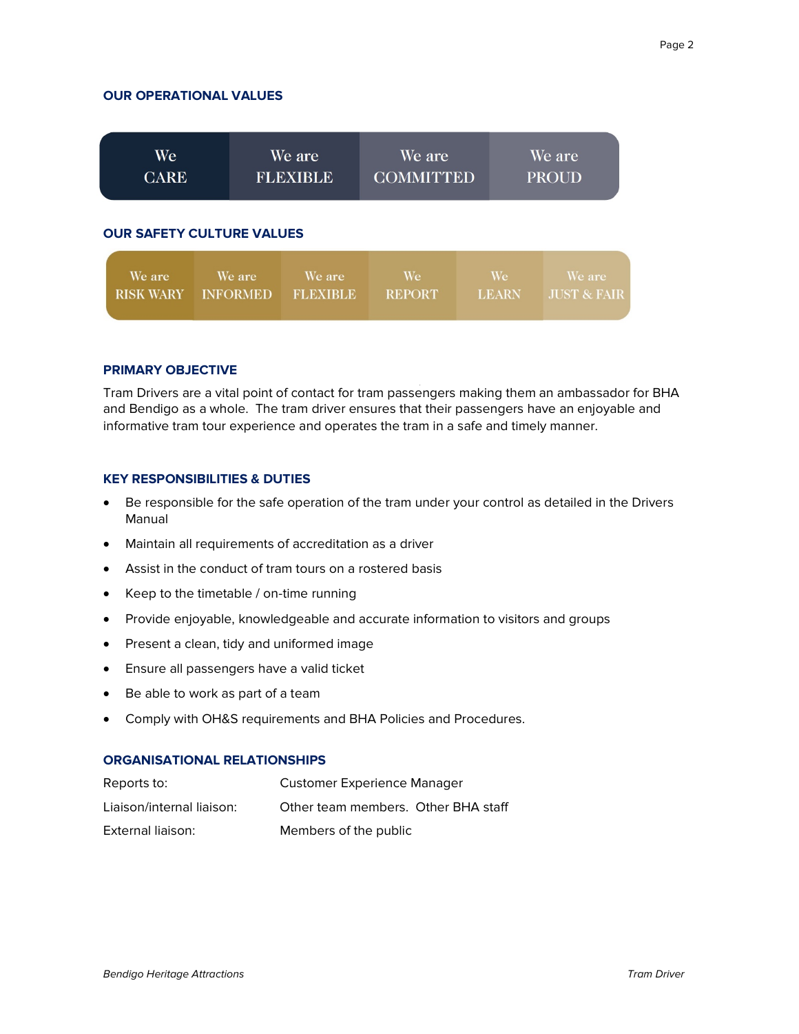### OUR OPERATIONAL VALUES

| We<br><b>CARE</b>                |        | We are<br><b>FLEXIBLE</b> | We are<br><b>COMMITTED</b> |    | We are<br><b>PROUD</b> |  |  |  |
|----------------------------------|--------|---------------------------|----------------------------|----|------------------------|--|--|--|
| <b>OUR SAFETY CULTURE VALUES</b> |        |                           |                            |    |                        |  |  |  |
| We are                           | We are | We are.                   | We.                        | We | We are                 |  |  |  |

## PRIMARY OBJECTIVE

Tram Drivers are a vital point of contact for tram passengers making them an ambassador for BHA and Bendigo as a whole. The tram driver ensures that their passengers have an enjoyable and informative tram tour experience and operates the tram in a safe and timely manner.

**REPORT** 

**LEARN** 

**JUST & FAIR** 

### KEY RESPONSIBILITIES & DUTIES

- Be responsible for the safe operation of the tram under your control as detailed in the Drivers Manual
- Maintain all requirements of accreditation as a driver
- Assist in the conduct of tram tours on a rostered basis
- Keep to the timetable / on-time running

RISK WARY INFORMED FLEXIBLE

- Provide enjoyable, knowledgeable and accurate information to visitors and groups
- Present a clean, tidy and uniformed image
- Ensure all passengers have a valid ticket
- Be able to work as part of a team
- Comply with OH&S requirements and BHA Policies and Procedures.

### ORGANISATIONAL RELATIONSHIPS

| Reports to:               | <b>Customer Experience Manager</b>  |
|---------------------------|-------------------------------------|
| Liaison/internal liaison: | Other team members. Other BHA staff |
| External liaison:         | Members of the public               |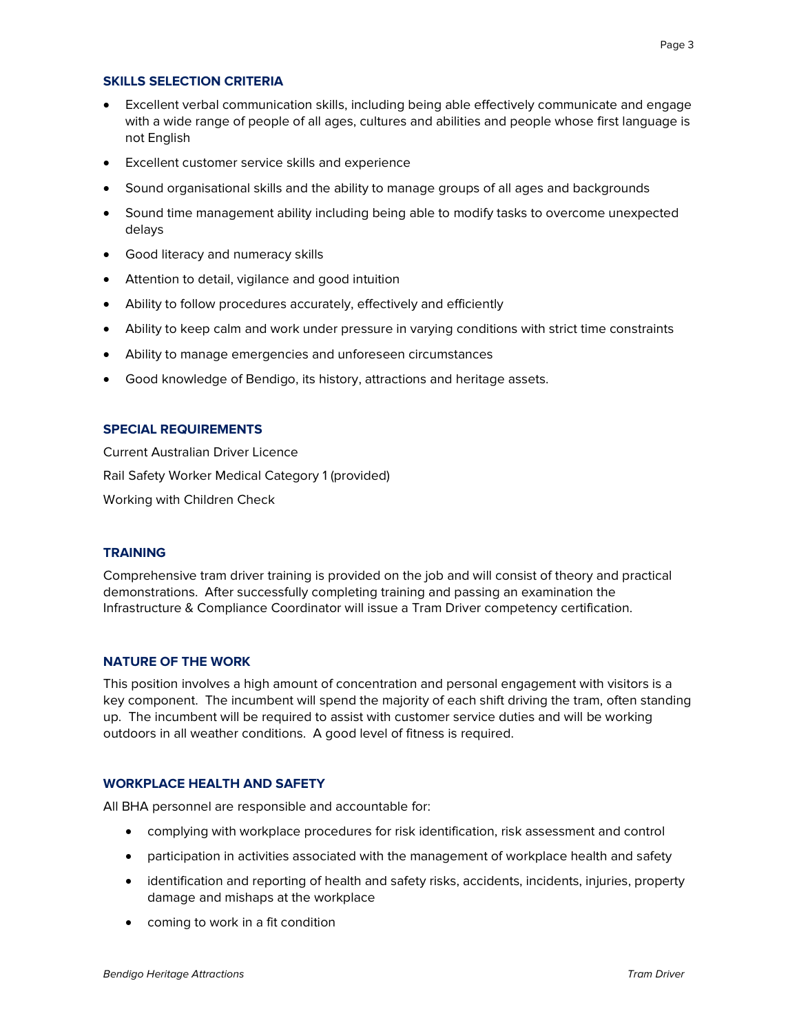## SKILLS SELECTION CRITERIA

- Excellent verbal communication skills, including being able effectively communicate and engage with a wide range of people of all ages, cultures and abilities and people whose first language is not English
- Excellent customer service skills and experience
- Sound organisational skills and the ability to manage groups of all ages and backgrounds
- Sound time management ability including being able to modify tasks to overcome unexpected delays
- Good literacy and numeracy skills
- Attention to detail, vigilance and good intuition
- Ability to follow procedures accurately, effectively and efficiently
- Ability to keep calm and work under pressure in varying conditions with strict time constraints
- Ability to manage emergencies and unforeseen circumstances
- Good knowledge of Bendigo, its history, attractions and heritage assets.

### SPECIAL REQUIREMENTS

Current Australian Driver Licence Rail Safety Worker Medical Category 1 (provided) Working with Children Check

### **TRAINING**

Comprehensive tram driver training is provided on the job and will consist of theory and practical demonstrations. After successfully completing training and passing an examination the Infrastructure & Compliance Coordinator will issue a Tram Driver competency certification.

### NATURE OF THE WORK

This position involves a high amount of concentration and personal engagement with visitors is a key component. The incumbent will spend the majority of each shift driving the tram, often standing up. The incumbent will be required to assist with customer service duties and will be working outdoors in all weather conditions. A good level of fitness is required.

# WORKPLACE HEALTH AND SAFETY

All BHA personnel are responsible and accountable for:

- complying with workplace procedures for risk identification, risk assessment and control
- participation in activities associated with the management of workplace health and safety
- identification and reporting of health and safety risks, accidents, incidents, injuries, property damage and mishaps at the workplace
- coming to work in a fit condition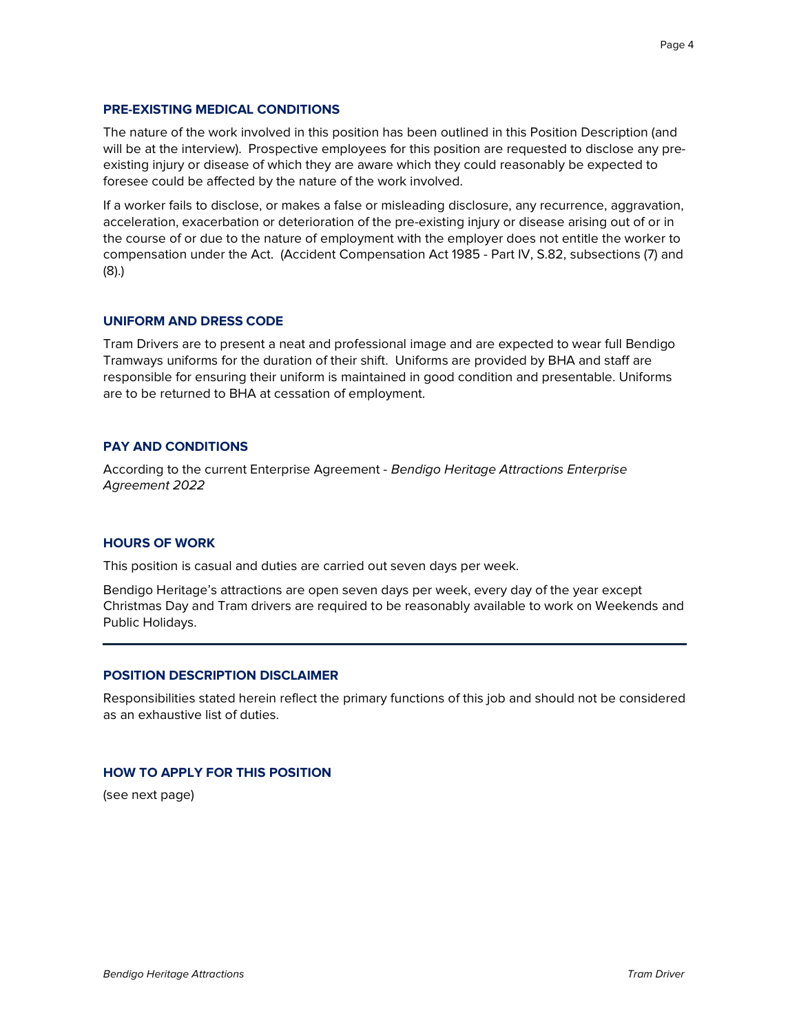## PRE-EXISTING MEDICAL CONDITIONS

The nature of the work involved in this position has been outlined in this Position Description (and will be at the interview). Prospective employees for this position are requested to disclose any preexisting injury or disease of which they are aware which they could reasonably be expected to foresee could be affected by the nature of the work involved.

If a worker fails to disclose, or makes a false or misleading disclosure, any recurrence, aggravation, acceleration, exacerbation or deterioration of the pre-existing injury or disease arising out of or in the course of or due to the nature of employment with the employer does not entitle the worker to compensation under the Act. (Accident Compensation Act 1985 - Part IV, S.82, subsections (7) and (8).)

### UNIFORM AND DRESS CODE

Tram Drivers are to present a neat and professional image and are expected to wear full Bendigo Tramways uniforms for the duration of their shift. Uniforms are provided by BHA and staff are responsible for ensuring their uniform is maintained in good condition and presentable. Uniforms are to be returned to BHA at cessation of employment.

## PAY AND CONDITIONS

According to the current Enterprise Agreement - Bendigo Heritage Attractions Enterprise Agreement 2022

#### HOURS OF WORK

This position is casual and duties are carried out seven days per week.

Bendigo Heritage's attractions are open seven days per week, every day of the year except Christmas Day and Tram drivers are required to be reasonably available to work on Weekends and Public Holidays.

#### POSITION DESCRIPTION DISCLAIMER

Responsibilities stated herein reflect the primary functions of this job and should not be considered as an exhaustive list of duties.

#### HOW TO APPLY FOR THIS POSITION

(see next page)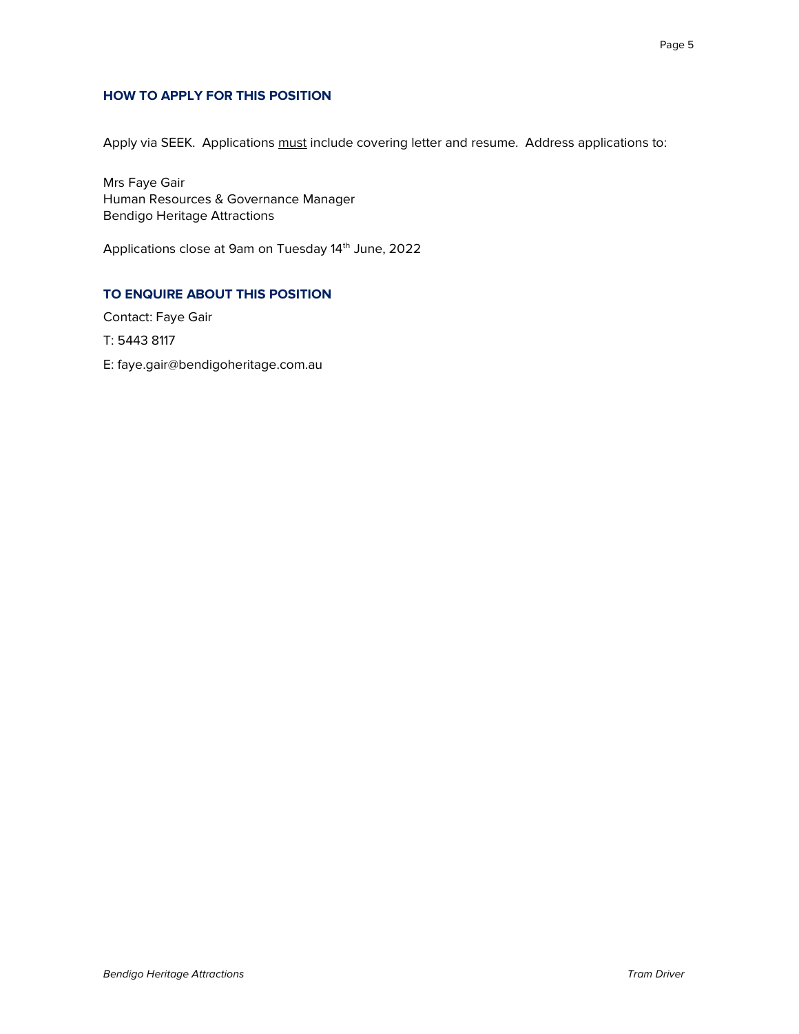# HOW TO APPLY FOR THIS POSITION

Apply via SEEK. Applications must include covering letter and resume. Address applications to:

Mrs Faye Gair Human Resources & Governance Manager Bendigo Heritage Attractions

Applications close at 9am on Tuesday 14<sup>th</sup> June, 2022

# TO ENQUIRE ABOUT THIS POSITION

Contact: Faye Gair

T: 5443 8117

E: faye.gair@bendigoheritage.com.au